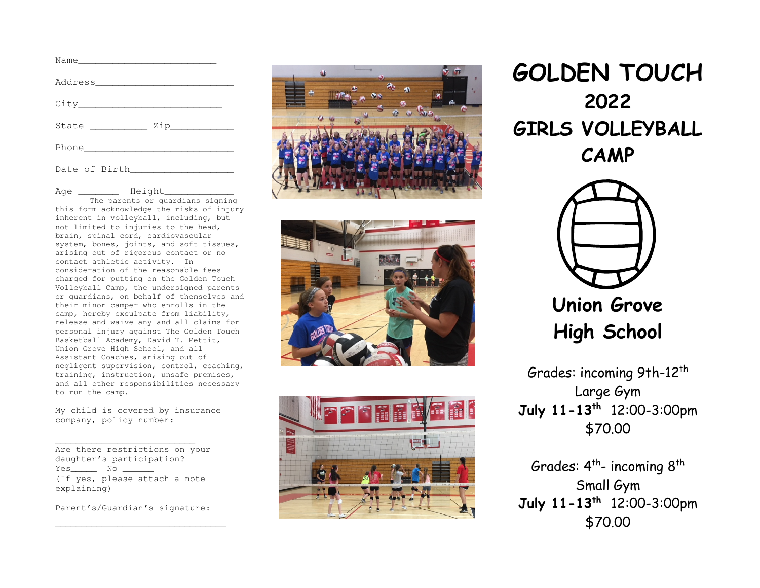| Name |  |
|------|--|
|      |  |
| City |  |
|      |  |
|      |  |
|      |  |

Age Height

 The parents or guardians signing this form acknowledge the risks of injury inherent in volleyball, including, but not limited to injuries to the head, brain, spinal cord, cardiovascular system, bones, joints, and soft tissues, arising out of rigorous contact or no contact athletic activity. In consideration of the reasonable fees charged for putting on the Golden Touch Volleyball Camp, the undersigned parents or guardians, on behalf of themselves and their minor camper who enrolls in the camp, hereby exculpate from liability, release and waive any and all claims for personal injury against The Golden Touch Basketball Academy, David T. Pettit, Union Grove High School, and all Assistant Coaches, arising out of negligent supervision, control, coaching, training, instruction, unsafe premises, and all other responsibilities necessary to run the camp.

My child is covered by insurance company, policy number:

 Are there restrictions on your daughter's participation? Yes\_\_\_\_\_\_\_\_ No \_\_\_\_\_\_ (If yes, please attach a note explaining)

Parent's/Guardian's signature:

\_\_\_\_\_\_\_\_\_\_\_\_\_\_\_\_\_\_\_\_\_\_\_\_\_\_\_\_\_\_\_\_\_







GOLDEN TOUCH 2022 GIRLS VOLLEYBALL CAMP



Union Grove High School

Grades: incoming 9th-12<sup>th</sup> Large Gym July 11-13th 12:00-3:00pm \$70.00

Grades:  $4<sup>th</sup>$ - incoming  $8<sup>th</sup>$ Small Gym July 11-13<sup>th</sup> 12:00-3:00pm \$70.00